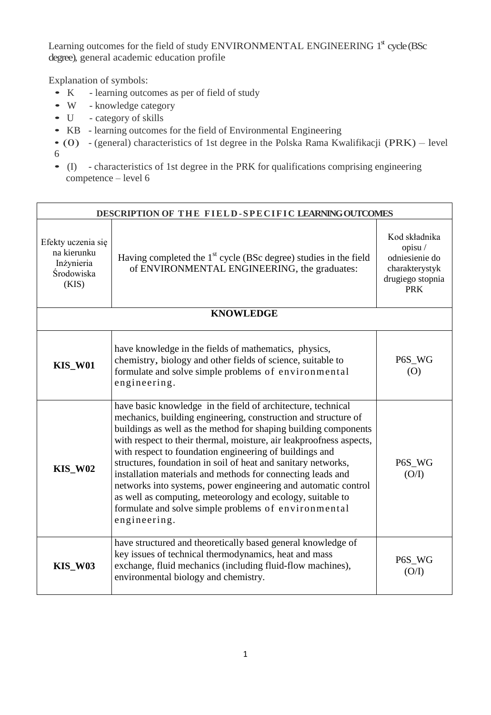Learning outcomes for the field of study ENVIRONMENTAL ENGINEERING 1<sup>st</sup> cycle (BSc degree), general academic education profile

Explanation of symbols:

- K learning outcomes as per of field of study
- <sup>W</sup> knowledge category
- U category of skills
- KB learning outcomes for the field of Environmental Engineering
- (0) (general) characteristics of 1st degree in the Polska Rama Kwalifikacji (PRK) level 6
- (I) characteristics of 1st degree in the PRK for qualifications comprising engineering competence – level 6

| DESCRIPTION OF THE FIELD-SPECIFIC LEARNING OUTCOMES                    |                                                                                                                                                                                                                                                                                                                                                                                                                                                                                                                                                                                                                                                                             |                                                                                               |
|------------------------------------------------------------------------|-----------------------------------------------------------------------------------------------------------------------------------------------------------------------------------------------------------------------------------------------------------------------------------------------------------------------------------------------------------------------------------------------------------------------------------------------------------------------------------------------------------------------------------------------------------------------------------------------------------------------------------------------------------------------------|-----------------------------------------------------------------------------------------------|
| Efekty uczenia się<br>na kierunku<br>Inżynieria<br>Środowiska<br>(KIS) | Having completed the $1st$ cycle (BSc degree) studies in the field<br>of ENVIRONMENTAL ENGINEERING, the graduates:                                                                                                                                                                                                                                                                                                                                                                                                                                                                                                                                                          | Kod składnika<br>opisu/<br>odniesienie do<br>charakterystyk<br>drugiego stopnia<br><b>PRK</b> |
|                                                                        | <b>KNOWLEDGE</b>                                                                                                                                                                                                                                                                                                                                                                                                                                                                                                                                                                                                                                                            |                                                                                               |
| <b>KIS_W01</b>                                                         | have knowledge in the fields of mathematics, physics,<br>chemistry, biology and other fields of science, suitable to<br>formulate and solve simple problems of environmental<br>engineering.                                                                                                                                                                                                                                                                                                                                                                                                                                                                                | P6S_WG<br>(0)                                                                                 |
| <b>KIS_W02</b>                                                         | have basic knowledge in the field of architecture, technical<br>mechanics, building engineering, construction and structure of<br>buildings as well as the method for shaping building components<br>with respect to their thermal, moisture, air leakproofness aspects,<br>with respect to foundation engineering of buildings and<br>structures, foundation in soil of heat and sanitary networks,<br>installation materials and methods for connecting leads and<br>networks into systems, power engineering and automatic control<br>as well as computing, meteorology and ecology, suitable to<br>formulate and solve simple problems of environmental<br>engineering. | P6S_WG<br>(O/I)                                                                               |
| <b>KIS_W03</b>                                                         | have structured and theoretically based general knowledge of<br>key issues of technical thermodynamics, heat and mass<br>exchange, fluid mechanics (including fluid-flow machines),<br>environmental biology and chemistry.                                                                                                                                                                                                                                                                                                                                                                                                                                                 | P6S_WG<br>(O/I)                                                                               |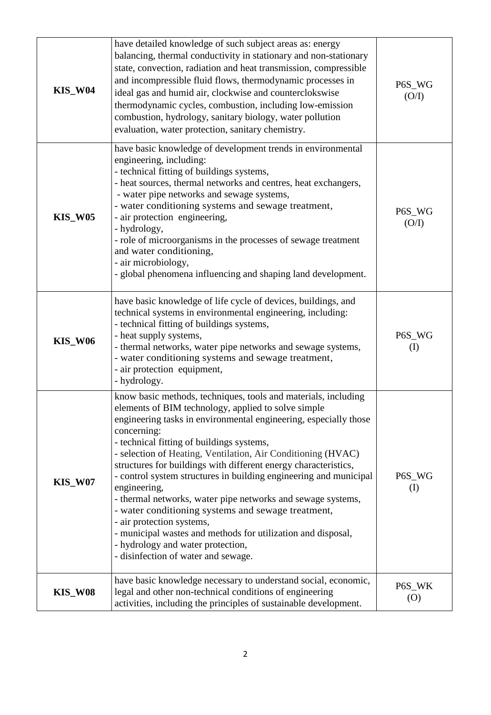| <b>KIS_W04</b> | have detailed knowledge of such subject areas as: energy<br>balancing, thermal conductivity in stationary and non-stationary<br>state, convection, radiation and heat transmission, compressible<br>and incompressible fluid flows, thermodynamic processes in<br>ideal gas and humid air, clockwise and counterclokswise<br>thermodynamic cycles, combustion, including low-emission<br>combustion, hydrology, sanitary biology, water pollution<br>evaluation, water protection, sanitary chemistry.                                                                                                                                                                                                                                                                      | P6S_WG<br>(O/I)              |
|----------------|-----------------------------------------------------------------------------------------------------------------------------------------------------------------------------------------------------------------------------------------------------------------------------------------------------------------------------------------------------------------------------------------------------------------------------------------------------------------------------------------------------------------------------------------------------------------------------------------------------------------------------------------------------------------------------------------------------------------------------------------------------------------------------|------------------------------|
| <b>KIS_W05</b> | have basic knowledge of development trends in environmental<br>engineering, including:<br>- technical fitting of buildings systems,<br>- heat sources, thermal networks and centres, heat exchangers,<br>- water pipe networks and sewage systems,<br>- water conditioning systems and sewage treatment,<br>- air protection engineering,<br>- hydrology,<br>- role of microorganisms in the processes of sewage treatment<br>and water conditioning,<br>- air microbiology,<br>- global phenomena influencing and shaping land development.                                                                                                                                                                                                                                | P6S_WG<br>(O/I)              |
| <b>KIS_W06</b> | have basic knowledge of life cycle of devices, buildings, and<br>technical systems in environmental engineering, including:<br>- technical fitting of buildings systems,<br>- heat supply systems,<br>- thermal networks, water pipe networks and sewage systems,<br>- water conditioning systems and sewage treatment,<br>- air protection equipment,<br>- hydrology.                                                                                                                                                                                                                                                                                                                                                                                                      | P6S_WG<br>$\rm (I)$          |
| <b>KIS_W07</b> | know basic methods, techniques, tools and materials, including<br>elements of BIM technology, applied to solve simple<br>engineering tasks in environmental engineering, especially those<br>concerning:<br>- technical fitting of buildings systems,<br>- selection of Heating, Ventilation, Air Conditioning (HVAC)<br>structures for buildings with different energy characteristics,<br>- control system structures in building engineering and municipal<br>engineering,<br>- thermal networks, water pipe networks and sewage systems,<br>- water conditioning systems and sewage treatment,<br>- air protection systems,<br>- municipal wastes and methods for utilization and disposal,<br>- hydrology and water protection,<br>- disinfection of water and sewage. | P6S_WG<br>$\rm (I)$          |
| <b>KIS_W08</b> | have basic knowledge necessary to understand social, economic,<br>legal and other non-technical conditions of engineering<br>activities, including the principles of sustainable development.                                                                                                                                                                                                                                                                                                                                                                                                                                                                                                                                                                               | P6S_WK<br>$\left( 0 \right)$ |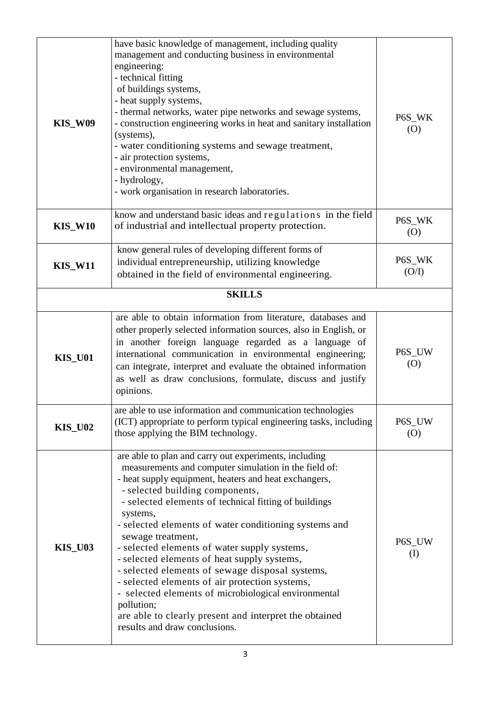| <b>KIS_W09</b> | have basic knowledge of management, including quality<br>management and conducting business in environmental<br>engineering:<br>- technical fitting<br>of buildings systems,<br>- heat supply systems,<br>- thermal networks, water pipe networks and sewage systems,<br>- construction engineering works in heat and sanitary installation<br>(systems),<br>- water conditioning systems and sewage treatment,<br>- air protection systems,<br>- environmental management,<br>- hydrology,<br>- work organisation in research laboratories.                                                                                                                                                                                       | P6S_WK<br>(O)   |
|----------------|------------------------------------------------------------------------------------------------------------------------------------------------------------------------------------------------------------------------------------------------------------------------------------------------------------------------------------------------------------------------------------------------------------------------------------------------------------------------------------------------------------------------------------------------------------------------------------------------------------------------------------------------------------------------------------------------------------------------------------|-----------------|
| <b>KIS_W10</b> | know and understand basic ideas and regulations in the field<br>of industrial and intellectual property protection.                                                                                                                                                                                                                                                                                                                                                                                                                                                                                                                                                                                                                | P6S_WK<br>(0)   |
| <b>KIS_W11</b> | know general rules of developing different forms of<br>individual entrepreneurship, utilizing knowledge<br>obtained in the field of environmental engineering.                                                                                                                                                                                                                                                                                                                                                                                                                                                                                                                                                                     | P6S_WK<br>(O/I) |
|                | <b>SKILLS</b>                                                                                                                                                                                                                                                                                                                                                                                                                                                                                                                                                                                                                                                                                                                      |                 |
| <b>KIS_U01</b> | are able to obtain information from literature, databases and<br>other properly selected information sources, also in English, or<br>in another foreign language regarded as a language of<br>international communication in environmental engineering;<br>can integrate, interpret and evaluate the obtained information<br>as well as draw conclusions, formulate, discuss and justify<br>opinions.                                                                                                                                                                                                                                                                                                                              | P6S_UW<br>(0)   |
| <b>KIS_U02</b> | are able to use information and communication technologies<br>(ICT) appropriate to perform typical engineering tasks, including<br>those applying the BIM technology.                                                                                                                                                                                                                                                                                                                                                                                                                                                                                                                                                              | P6S_UW<br>(0)   |
| <b>KIS_U03</b> | are able to plan and carry out experiments, including<br>measurements and computer simulation in the field of:<br>- heat supply equipment, heaters and heat exchangers,<br>- selected building components,<br>- selected elements of technical fitting of buildings<br>systems,<br>- selected elements of water conditioning systems and<br>sewage treatment,<br>- selected elements of water supply systems,<br>- selected elements of heat supply systems,<br>- selected elements of sewage disposal systems,<br>- selected elements of air protection systems,<br>- selected elements of microbiological environmental<br>pollution;<br>are able to clearly present and interpret the obtained<br>results and draw conclusions. | P6S_UW<br>(I)   |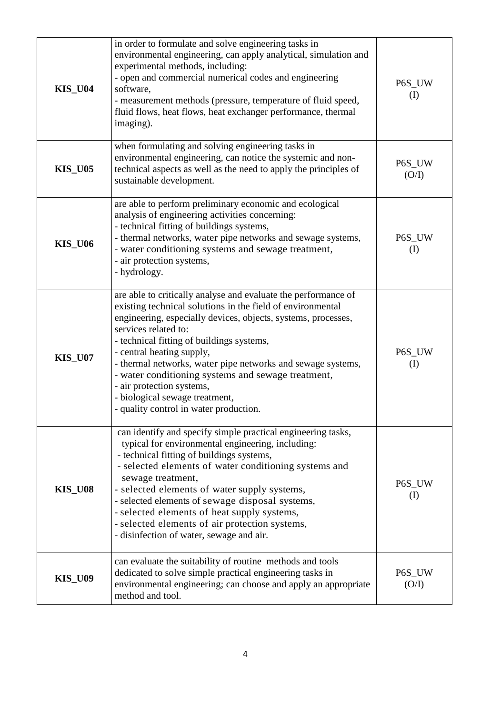| <b>KIS_U04</b> | in order to formulate and solve engineering tasks in<br>environmental engineering, can apply analytical, simulation and<br>experimental methods, including:<br>- open and commercial numerical codes and engineering<br>software,<br>- measurement methods (pressure, temperature of fluid speed,<br>fluid flows, heat flows, heat exchanger performance, thermal<br>imaging).                                                                                                                                                | P6S_UW<br>$\rm (I)$ |
|----------------|-------------------------------------------------------------------------------------------------------------------------------------------------------------------------------------------------------------------------------------------------------------------------------------------------------------------------------------------------------------------------------------------------------------------------------------------------------------------------------------------------------------------------------|---------------------|
| <b>KIS_U05</b> | when formulating and solving engineering tasks in<br>environmental engineering, can notice the systemic and non-<br>technical aspects as well as the need to apply the principles of<br>sustainable development.                                                                                                                                                                                                                                                                                                              | P6S_UW<br>(O/I)     |
| <b>KIS_U06</b> | are able to perform preliminary economic and ecological<br>analysis of engineering activities concerning:<br>- technical fitting of buildings systems,<br>- thermal networks, water pipe networks and sewage systems,<br>- water conditioning systems and sewage treatment,<br>- air protection systems,<br>- hydrology.                                                                                                                                                                                                      | P6S_UW<br>$\rm (I)$ |
| <b>KIS_U07</b> | are able to critically analyse and evaluate the performance of<br>existing technical solutions in the field of environmental<br>engineering, especially devices, objects, systems, processes,<br>services related to:<br>- technical fitting of buildings systems,<br>- central heating supply,<br>- thermal networks, water pipe networks and sewage systems,<br>- water conditioning systems and sewage treatment,<br>- air protection systems,<br>- biological sewage treatment,<br>- quality control in water production. | P6S_UW<br>$\rm (I)$ |
| <b>KIS_U08</b> | can identify and specify simple practical engineering tasks,<br>typical for environmental engineering, including:<br>- technical fitting of buildings systems,<br>- selected elements of water conditioning systems and<br>sewage treatment,<br>- selected elements of water supply systems,<br>- selected elements of sewage disposal systems,<br>- selected elements of heat supply systems,<br>- selected elements of air protection systems,<br>- disinfection of water, sewage and air.                                  | P6S_UW<br>(I)       |
| <b>KIS_U09</b> | can evaluate the suitability of routine methods and tools<br>dedicated to solve simple practical engineering tasks in<br>environmental engineering; can choose and apply an appropriate<br>method and tool.                                                                                                                                                                                                                                                                                                                   | P6S_UW<br>(O/I)     |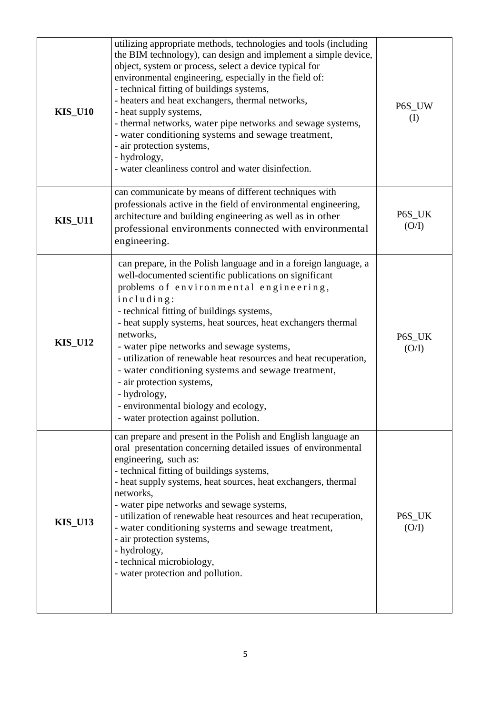| <b>KIS_U10</b> | utilizing appropriate methods, technologies and tools (including<br>the BIM technology), can design and implement a simple device,<br>object, system or process, select a device typical for<br>environmental engineering, especially in the field of:<br>- technical fitting of buildings systems,<br>- heaters and heat exchangers, thermal networks,<br>- heat supply systems,<br>- thermal networks, water pipe networks and sewage systems,<br>- water conditioning systems and sewage treatment,<br>- air protection systems,<br>- hydrology,<br>- water cleanliness control and water disinfection.        | P6S_UW<br>$\rm (I)$ |
|----------------|-------------------------------------------------------------------------------------------------------------------------------------------------------------------------------------------------------------------------------------------------------------------------------------------------------------------------------------------------------------------------------------------------------------------------------------------------------------------------------------------------------------------------------------------------------------------------------------------------------------------|---------------------|
| <b>KIS_U11</b> | can communicate by means of different techniques with<br>professionals active in the field of environmental engineering,<br>architecture and building engineering as well as in other<br>professional environments connected with environmental<br>engineering.                                                                                                                                                                                                                                                                                                                                                   | P6S_UK<br>(O/I)     |
| <b>KIS_U12</b> | can prepare, in the Polish language and in a foreign language, a<br>well-documented scientific publications on significant<br>problems of environmental engineering,<br>including:<br>- technical fitting of buildings systems,<br>- heat supply systems, heat sources, heat exchangers thermal<br>networks,<br>- water pipe networks and sewage systems,<br>- utilization of renewable heat resources and heat recuperation,<br>- water conditioning systems and sewage treatment,<br>- air protection systems,<br>- hydrology,<br>- environmental biology and ecology,<br>- water protection against pollution. | P6S_UK<br>(O/I)     |
| <b>KIS_U13</b> | can prepare and present in the Polish and English language an<br>oral presentation concerning detailed issues of environmental<br>engineering, such as:<br>- technical fitting of buildings systems,<br>- heat supply systems, heat sources, heat exchangers, thermal<br>networks.<br>- water pipe networks and sewage systems,<br>- utilization of renewable heat resources and heat recuperation,<br>- water conditioning systems and sewage treatment,<br>- air protection systems,<br>- hydrology,<br>- technical microbiology,<br>- water protection and pollution.                                          | P6S_UK<br>(O/I)     |